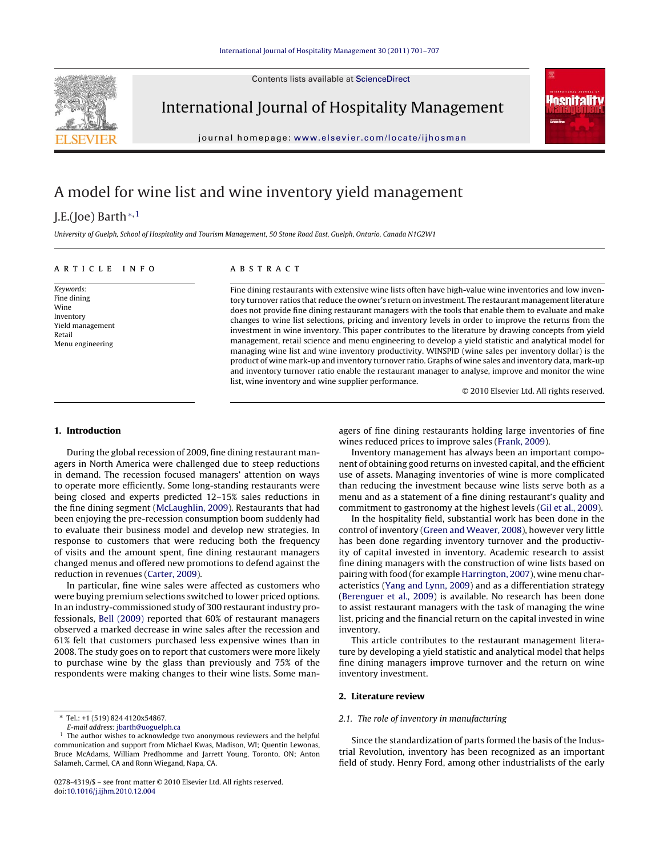Contents lists available at [ScienceDirect](http://www.sciencedirect.com/science/journal/02784319)



International Journal of Hospitality Management

journal homepage: [www.elsevier.com/locate/ijhosman](http://www.elsevier.com/locate/ijhosman)

# A model for wine list and wine inventory yield management

# J.E.(Joe) Barth∗,<sup>1</sup>

University of Guelph, School of Hospitality and Tourism Management, 50 Stone Road East, Guelph, Ontario, Canada N1G2W1

# article info

Keywords: Fine dining Wine Inventory Yield management Retail Menu engineering

# ABSTRACT

Fine dining restaurants with extensive wine lists often have high-value wine inventories and low inventory turnover ratios that reduce the owner's return on investment. The restaurant management literature does not provide fine dining restaurant managers with the tools that enable them to evaluate and make changes to wine list selections, pricing and inventory levels in order to improve the returns from the investment in wine inventory. This paper contributes to the literature by drawing concepts from yield management, retail science and menu engineering to develop a yield statistic and analytical model for managing wine list and wine inventory productivity. WINSPID (wine sales per inventory dollar) is the product of wine mark-up and inventory turnover ratio. Graphs of wine sales and inventory data, mark-up and inventory turnover ratio enable the restaurant manager to analyse, improve and monitor the wine list, wine inventory and wine supplier performance.

© 2010 Elsevier Ltd. All rights reserved.

**Insnitality** 

# **1. Introduction**

During the global recession of 2009, fine dining restaurant managers in North America were challenged due to steep reductions in demand. The recession focused managers' attention on ways to operate more efficiently. Some long-standing restaurants were being closed and experts predicted 12–15% sales reductions in the fine dining segment [\(McLaughlin, 2009\).](#page-6-0) Restaurants that had been enjoying the pre-recession consumption boom suddenly had to evaluate their business model and develop new strategies. In response to customers that were reducing both the frequency of visits and the amount spent, fine dining restaurant managers changed menus and offered new promotions to defend against the reduction in revenues [\(Carter, 2009\).](#page-6-0)

In particular, fine wine sales were affected as customers who were buying premium selections switched to lower priced options. In an industry-commissioned study of 300 restaurant industry professionals, [Bell \(2009\)](#page-6-0) reported that 60% of restaurant managers observed a marked decrease in wine sales after the recession and 61% felt that customers purchased less expensive wines than in 2008. The study goes on to report that customers were more likely to purchase wine by the glass than previously and 75% of the respondents were making changes to their wine lists. Some managers of fine dining restaurants holding large inventories of fine wines reduced prices to improve sales ([Frank, 2009\).](#page-6-0)

Inventory management has always been an important component of obtaining good returns on invested capital, and the efficient use of assets. Managing inventories of wine is more complicated than reducing the investment because wine lists serve both as a menu and as a statement of a fine dining restaurant's quality and commitment to gastronomy at the highest levels ([Gil et al., 2009\).](#page-6-0)

In the hospitality field, substantial work has been done in the control of inventory [\(Green and Weaver, 2008\),](#page-6-0) however very little has been done regarding inventory turnover and the productivity of capital invested in inventory. Academic research to assist fine dining managers with the construction of wine lists based on pairing with food (for example [Harrington, 2007\),](#page-6-0) wine menu characteristics [\(Yang and Lynn, 2009\)](#page-6-0) and as a differentiation strategy [\(Berenguer et al., 2009\)](#page-6-0) is available. No research has been done to assist restaurant managers with the task of managing the wine list, pricing and the financial return on the capital invested in wine inventory.

This article contributes to the restaurant management literature by developing a yield statistic and analytical model that helps fine dining managers improve turnover and the return on wine inventory investment.

#### **2. Literature review**

# 2.1. The role of inventory in manufacturing

Since the standardization of parts formed the basis of the Industrial Revolution, inventory has been recognized as an important field of study. Henry Ford, among other industrialists of the early

<sup>∗</sup> Tel.: +1 (519) 824 4120x54867.

E-mail address: [jbarth@uoguelph.ca](mailto:jbarth@uoguelph.ca)

The author wishes to acknowledge two anonymous reviewers and the helpful communication and support from Michael Kwas, Madison, WI; Quentin Lewonas, Bruce McAdams, William Predhomme and Jarrett Young, Toronto, ON; Anton Salameh, Carmel, CA and Ronn Wiegand, Napa, CA.

<sup>0278-4319/\$ –</sup> see front matter © 2010 Elsevier Ltd. All rights reserved. doi:[10.1016/j.ijhm.2010.12.004](dx.doi.org/10.1016/j.ijhm.2010.12.004)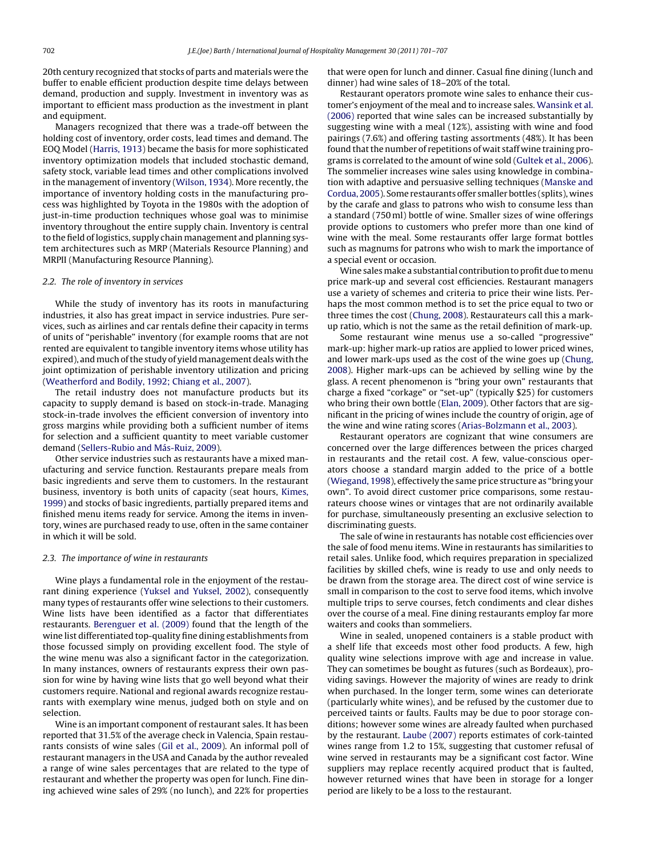<span id="page-1-0"></span>20th century recognized that stocks of parts and materials were the buffer to enable efficient production despite time delays between demand, production and supply. Investment in inventory was as important to efficient mass production as the investment in plant and equipment.

Managers recognized that there was a trade-off between the holding cost of inventory, order costs, lead times and demand. The EOQ Model ([Harris, 1913\)](#page-6-0) became the basis for more sophisticated inventory optimization models that included stochastic demand, safety stock, variable lead times and other complications involved in the management of inventory ([Wilson, 1934\).](#page-6-0) More recently, the importance of inventory holding costs in the manufacturing process was highlighted by Toyota in the 1980s with the adoption of just-in-time production techniques whose goal was to minimise inventory throughout the entire supply chain. Inventory is central to the field of logistics, supply chain management and planning system architectures such as MRP (Materials Resource Planning) and MRPII (Manufacturing Resource Planning).

#### 2.2. The role of inventory in services

While the study of inventory has its roots in manufacturing industries, it also has great impact in service industries. Pure services, such as airlines and car rentals define their capacity in terms of units of "perishable" inventory (for example rooms that are not rented are equivalent to tangible inventory items whose utility has expired), and much of the study of yield management deals with the joint optimization of perishable inventory utilization and pricing ([Weatherford and Bodily, 1992; Chiang et al., 2007\).](#page-6-0)

The retail industry does not manufacture products but its capacity to supply demand is based on stock-in-trade. Managing stock-in-trade involves the efficient conversion of inventory into gross margins while providing both a sufficient number of items for selection and a sufficient quantity to meet variable customer demand [\(Sellers-Rubio and Más-Ruiz, 2009\).](#page-6-0)

Other service industries such as restaurants have a mixed manufacturing and service function. Restaurants prepare meals from basic ingredients and serve them to customers. In the restaurant business, inventory is both units of capacity (seat hours, [Kimes,](#page-6-0) [1999\)](#page-6-0) and stocks of basic ingredients, partially prepared items and finished menu items ready for service. Among the items in inventory, wines are purchased ready to use, often in the same container in which it will be sold.

#### 2.3. The importance of wine in restaurants

Wine plays a fundamental role in the enjoyment of the restaurant dining experience ([Yuksel and Yuksel, 2002\),](#page-6-0) consequently many types of restaurants offer wine selections to their customers. Wine lists have been identified as a factor that differentiates restaurants. [Berenguer et al. \(2009\)](#page-6-0) found that the length of the wine list differentiated top-quality fine dining establishments from those focussed simply on providing excellent food. The style of the wine menu was also a significant factor in the categorization. In many instances, owners of restaurants express their own passion for wine by having wine lists that go well beyond what their customers require. National and regional awards recognize restaurants with exemplary wine menus, judged both on style and on selection.

Wine is an important component of restaurant sales. It has been reported that 31.5% of the average check in Valencia, Spain restaurants consists of wine sales [\(Gil et al., 2009\).](#page-6-0) An informal poll of restaurant managers in the USA and Canada by the author revealed a range of wine sales percentages that are related to the type of restaurant and whether the property was open for lunch. Fine dining achieved wine sales of 29% (no lunch), and 22% for properties

that were open for lunch and dinner. Casual fine dining (lunch and dinner) had wine sales of 18–20% of the total.

Restaurant operators promote wine sales to enhance their customer's enjoyment of the meal and to increase sales. [Wansink et al.](#page-6-0) [\(2006\)](#page-6-0) reported that wine sales can be increased substantially by suggesting wine with a meal (12%), assisting with wine and food pairings (7.6%) and offering tasting assortments (48%). It has been found that the number of repetitions of wait staff wine training programs is correlated to the amount of wine sold [\(Gultek et al., 2006\).](#page-6-0) The sommelier increases wine sales using knowledge in combination with adaptive and persuasive selling techniques ([Manske and](#page-6-0) [Cordua, 2005\).](#page-6-0) Some restaurants offer smaller bottles (splits), wines by the carafe and glass to patrons who wish to consume less than a standard (750 ml) bottle of wine. Smaller sizes of wine offerings provide options to customers who prefer more than one kind of wine with the meal. Some restaurants offer large format bottles such as magnums for patrons who wish to mark the importance of a special event or occasion.

Wine sales make a substantial contribution to profit due to menu price mark-up and several cost efficiencies. Restaurant managers use a variety of schemes and criteria to price their wine lists. Perhaps the most common method is to set the price equal to two or three times the cost [\(Chung, 2008\).](#page-6-0) Restaurateurs call this a markup ratio, which is not the same as the retail definition of mark-up.

Some restaurant wine menus use a so-called "progressive" mark-up: higher mark-up ratios are applied to lower priced wines, and lower mark-ups used as the cost of the wine goes up ([Chung,](#page-6-0) [2008\).](#page-6-0) Higher mark-ups can be achieved by selling wine by the glass. A recent phenomenon is "bring your own" restaurants that charge a fixed "corkage" or "set-up" (typically \$25) for customers who bring their own bottle [\(Elan, 2009\).](#page-6-0) Other factors that are significant in the pricing of wines include the country of origin, age of the wine and wine rating scores [\(Arias-Bolzmann et al., 2003\).](#page-6-0)

Restaurant operators are cognizant that wine consumers are concerned over the large differences between the prices charged in restaurants and the retail cost. A few, value-conscious operators choose a standard margin added to the price of a bottle [\(Wiegand, 1998\),](#page-6-0) effectively the same price structure as "bring your own". To avoid direct customer price comparisons, some restaurateurs choose wines or vintages that are not ordinarily available for purchase, simultaneously presenting an exclusive selection to discriminating guests.

The sale of wine in restaurants has notable cost efficiencies over the sale of food menu items. Wine in restaurants has similarities to retail sales. Unlike food, which requires preparation in specialized facilities by skilled chefs, wine is ready to use and only needs to be drawn from the storage area. The direct cost of wine service is small in comparison to the cost to serve food items, which involve multiple trips to serve courses, fetch condiments and clear dishes over the course of a meal. Fine dining restaurants employ far more waiters and cooks than sommeliers.

Wine in sealed, unopened containers is a stable product with a shelf life that exceeds most other food products. A few, high quality wine selections improve with age and increase in value. They can sometimes be bought as futures (such as Bordeaux), providing savings. However the majority of wines are ready to drink when purchased. In the longer term, some wines can deteriorate (particularly white wines), and be refused by the customer due to perceived taints or faults. Faults may be due to poor storage conditions; however some wines are already faulted when purchased by the restaurant. [Laube \(2007\)](#page-6-0) reports estimates of cork-tainted wines range from 1.2 to 15%, suggesting that customer refusal of wine served in restaurants may be a significant cost factor. Wine suppliers may replace recently acquired product that is faulted, however returned wines that have been in storage for a longer period are likely to be a loss to the restaurant.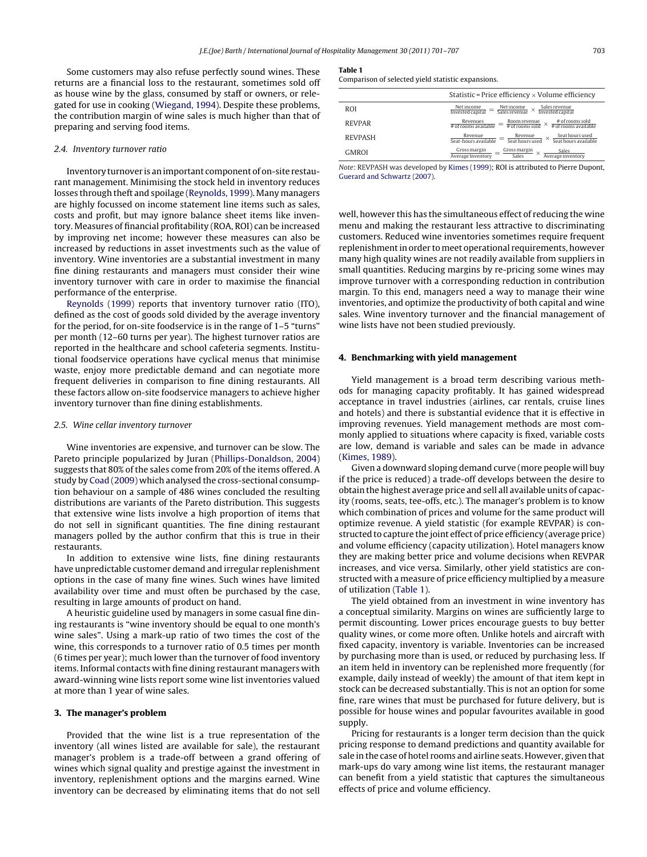<span id="page-2-0"></span>Some customers may also refuse perfectly sound wines. These returns are a financial loss to the restaurant, sometimes sold off as house wine by the glass, consumed by staff or owners, or relegated for use in cooking [\(Wiegand, 1994\).](#page-6-0) Despite these problems, the contribution margin of wine sales is much higher than that of preparing and serving food items.

#### 2.4. Inventory turnover ratio

Inventory turnover is an important component of on-site restaurant management. Minimising the stock held in inventory reduces losses through theft and spoilage [\(Reynolds, 1999\).](#page-6-0) Many managers are highly focussed on income statement line items such as sales, costs and profit, but may ignore balance sheet items like inventory. Measures of financial profitability (ROA, ROI) can be increased by improving net income; however these measures can also be increased by reductions in asset investments such as the value of inventory. Wine inventories are a substantial investment in many fine dining restaurants and managers must consider their wine inventory turnover with care in order to maximise the financial performance of the enterprise.

[Reynolds \(1999\)](#page-6-0) reports that inventory turnover ratio (ITO), defined as the cost of goods sold divided by the average inventory for the period, for on-site foodservice is in the range of 1–5 "turns" per month (12–60 turns per year). The highest turnover ratios are reported in the healthcare and school cafeteria segments. Institutional foodservice operations have cyclical menus that minimise waste, enjoy more predictable demand and can negotiate more frequent deliveries in comparison to fine dining restaurants. All these factors allow on-site foodservice managers to achieve higher inventory turnover than fine dining establishments.

## 2.5. Wine cellar inventory turnover

Wine inventories are expensive, and turnover can be slow. The Pareto principle popularized by Juran ([Phillips-Donaldson, 2004\)](#page-6-0) suggests that 80% of the sales come from 20% of the items offered. A study by [Coad \(2009\)](#page-6-0) which analysed the cross-sectional consumption behaviour on a sample of 486 wines concluded the resulting distributions are variants of the Pareto distribution. This suggests that extensive wine lists involve a high proportion of items that do not sell in significant quantities. The fine dining restaurant managers polled by the author confirm that this is true in their restaurants.

In addition to extensive wine lists, fine dining restaurants have unpredictable customer demand and irregular replenishment options in the case of many fine wines. Such wines have limited availability over time and must often be purchased by the case, resulting in large amounts of product on hand.

A heuristic guideline used by managers in some casual fine dining restaurants is "wine inventory should be equal to one month's wine sales". Using a mark-up ratio of two times the cost of the wine, this corresponds to a turnover ratio of 0.5 times per month (6 times per year); much lower than the turnover of food inventory items. Informal contacts with fine dining restaurant managers with award-winning wine lists report some wine list inventories valued at more than 1 year of wine sales.

## **3. The manager's problem**

Provided that the wine list is a true representation of the inventory (all wines listed are available for sale), the restaurant manager's problem is a trade-off between a grand offering of wines which signal quality and prestige against the investment in inventory, replenishment options and the margins earned. Wine inventory can be decreased by eliminating items that do not sell

#### **Table 1**

Comparison of selected yield statistic expansions.

|                | Statistic = Price efficiency $\times$ Volume efficiency                                                                                                                          |
|----------------|----------------------------------------------------------------------------------------------------------------------------------------------------------------------------------|
| <b>ROI</b>     | $\frac{\text{Net income}}{\text{Invested capital}} = \frac{\text{Net income}}{\text{Sales revenue}} \times \frac{\text{Sales revenue}}{\text{Invested capital}}$                 |
| <b>REVPAR</b>  | $\frac{\text{Revennes}}{\# \text{of rooms available}} = \frac{\text{Room revenue}}{\# \text{of rooms sold}} \times \frac{\# \text{of rooms sold}}{\# \text{of rooms available}}$ |
| <b>REVPASH</b> | $\frac{\text{Revenue}}{\text{Seat-hours available}} = \frac{\text{Revenue}}{\text{Seat hours used}} \times \frac{\text{Seat hours used}}{\text{Seat hours available}}$           |
| GMROI          | $\frac{Gross margin}{Average Inventory} = \frac{Gross margin}{Sales} \times \frac{Gross period}{Average Inventory}$<br>Sales<br>Average inventory                                |

Note: REVPASH was developed by [Kimes \(1999\); R](#page-6-0)OI is attributed to Pierre Dupont, [Guerard and Schwartz \(2007\).](#page-6-0)

well, however this has the simultaneous effect of reducing the wine menu and making the restaurant less attractive to discriminating customers. Reduced wine inventories sometimes require frequent replenishment in order to meet operational requirements, however many high quality wines are not readily available from suppliers in small quantities. Reducing margins by re-pricing some wines may improve turnover with a corresponding reduction in contribution margin. To this end, managers need a way to manage their wine inventories, and optimize the productivity of both capital and wine sales. Wine inventory turnover and the financial management of wine lists have not been studied previously.

#### **4. Benchmarking with yield management**

Yield management is a broad term describing various methods for managing capacity profitably. It has gained widespread acceptance in travel industries (airlines, car rentals, cruise lines and hotels) and there is substantial evidence that it is effective in improving revenues. Yield management methods are most commonly applied to situations where capacity is fixed, variable costs are low, demand is variable and sales can be made in advance [\(Kimes, 1989\).](#page-6-0)

Given a downward sloping demand curve (more people will buy if the price is reduced) a trade-off develops between the desire to obtain the highest average price and sell all available units of capacity (rooms, seats, tee-offs, etc.). The manager's problem is to know which combination of prices and volume for the same product will optimize revenue. A yield statistic (for example REVPAR) is constructed to capture the joint effect of price efficiency (average price) and volume efficiency (capacity utilization). Hotel managers know they are making better price and volume decisions when REVPAR increases, and vice versa. Similarly, other yield statistics are constructed with a measure of price efficiency multiplied by a measure of utilization (Table 1).

The yield obtained from an investment in wine inventory has a conceptual similarity. Margins on wines are sufficiently large to permit discounting. Lower prices encourage guests to buy better quality wines, or come more often. Unlike hotels and aircraft with fixed capacity, inventory is variable. Inventories can be increased by purchasing more than is used, or reduced by purchasing less. If an item held in inventory can be replenished more frequently (for example, daily instead of weekly) the amount of that item kept in stock can be decreased substantially. This is not an option for some fine, rare wines that must be purchased for future delivery, but is possible for house wines and popular favourites available in good supply.

Pricing for restaurants is a longer term decision than the quick pricing response to demand predictions and quantity available for sale in the case of hotel rooms and airline seats. However, given that mark-ups do vary among wine list items, the restaurant manager can benefit from a yield statistic that captures the simultaneous effects of price and volume efficiency.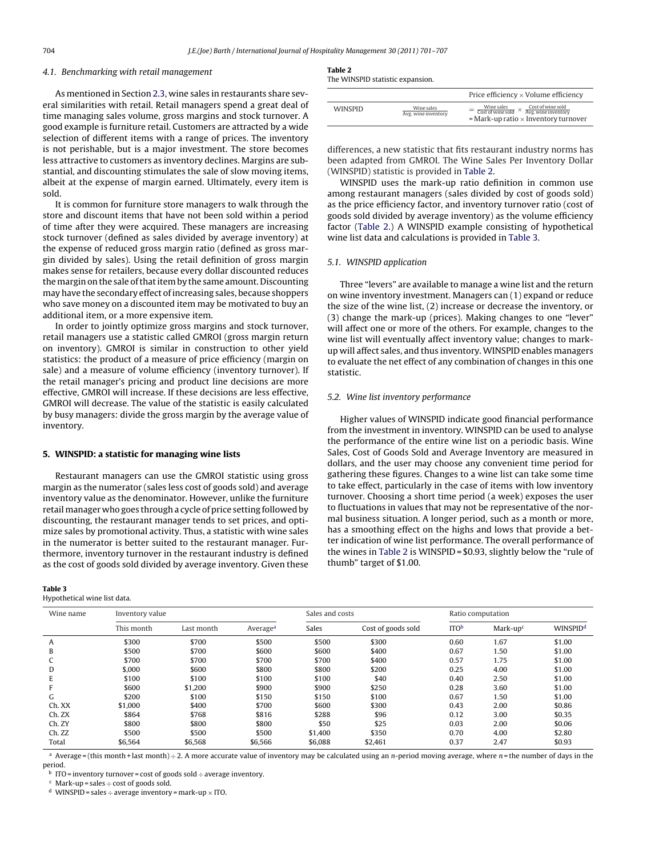#### 4.1. Benchmarking with retail management

As mentioned in Section [2.3, w](#page-1-0)ine sales in restaurants share several similarities with retail. Retail managers spend a great deal of time managing sales volume, gross margins and stock turnover. A good example is furniture retail. Customers are attracted by a wide selection of different items with a range of prices. The inventory is not perishable, but is a major investment. The store becomes less attractive to customers as inventory declines. Margins are substantial, and discounting stimulates the sale of slow moving items, albeit at the expense of margin earned. Ultimately, every item is sold.

It is common for furniture store managers to walk through the store and discount items that have not been sold within a period of time after they were acquired. These managers are increasing stock turnover (defined as sales divided by average inventory) at the expense of reduced gross margin ratio (defined as gross margin divided by sales). Using the retail definition of gross margin makes sense for retailers, because every dollar discounted reduces the margin on the sale of that item by the same amount. Discounting may have the secondary effect of increasing sales, because shoppers who save money on a discounted item may be motivated to buy an additional item, or a more expensive item.

In order to jointly optimize gross margins and stock turnover, retail managers use a statistic called GMROI (gross margin return on inventory). GMROI is similar in construction to other yield statistics: the product of a measure of price efficiency (margin on sale) and a measure of volume efficiency (inventory turnover). If the retail manager's pricing and product line decisions are more effective, GMROI will increase. If these decisions are less effective, GMROI will decrease. The value of the statistic is easily calculated by busy managers: divide the gross margin by the average value of inventory.

# **5. WINSPID: a statistic for managing wine lists**

Restaurant managers can use the GMROI statistic using gross margin as the numerator (sales less cost of goods sold) and average inventory value as the denominator. However, unlike the furniture retailmanager who goes through a cycle of price setting followed by discounting, the restaurant manager tends to set prices, and optimize sales by promotional activity. Thus, a statistic with wine sales in the numerator is better suited to the restaurant manager. Furthermore, inventory turnover in the restaurant industry is defined as the cost of goods sold divided by average inventory. Given these

#### **Table 3**

Hypothetical wine list data.

**Table 2**

The WINSPID statistic expansion.

|                |                                   | Price efficiency $\times$ Volume efficiency                                                                                                             |
|----------------|-----------------------------------|---------------------------------------------------------------------------------------------------------------------------------------------------------|
| <b>WINSPID</b> | Wine sales<br>Avg. wine inventory | $=\frac{Wine \, sales}{Cost of wine \, solid} \times \frac{Cost of wine \, sold}{Avg, wine inventory}$<br>$=$ Mark-up ratio $\times$ Inventory turnover |

differences, a new statistic that fits restaurant industry norms has been adapted from GMROI. The Wine Sales Per Inventory Dollar (WINSPID) statistic is provided in Table 2.

WINSPID uses the mark-up ratio definition in common use among restaurant managers (sales divided by cost of goods sold) as the price efficiency factor, and inventory turnover ratio (cost of goods sold divided by average inventory) as the volume efficiency factor (Table 2.) A WINSPID example consisting of hypothetical wine list data and calculations is provided in Table 3.

#### 5.1. WINSPID application

Three "levers" are available to manage a wine list and the return on wine inventory investment. Managers can (1) expand or reduce the size of the wine list, (2) increase or decrease the inventory, or (3) change the mark-up (prices). Making changes to one "lever" will affect one or more of the others. For example, changes to the wine list will eventually affect inventory value; changes to markup will affect sales, and thus inventory. WINSPID enables managers to evaluate the net effect of any combination of changes in this one statistic.

#### 5.2. Wine list inventory performance

Higher values of WINSPID indicate good financial performance from the investment in inventory. WINSPID can be used to analyse the performance of the entire wine list on a periodic basis. Wine Sales, Cost of Goods Sold and Average Inventory are measured in dollars, and the user may choose any convenient time period for gathering these figures. Changes to a wine list can take some time to take effect, particularly in the case of items with low inventory turnover. Choosing a short time period (a week) exposes the user to fluctuations in values that may not be representative of the normal business situation. A longer period, such as a month or more, has a smoothing effect on the highs and lows that provide a better indication of wine list performance. The overall performance of the wines in Table 2 is WINSPID = \$0.93, slightly below the "rule of thumb" target of \$1.00.

| Wine name | Inventory value |            |                      | Sales and costs |                    | Ratio computation       |                      |                            |
|-----------|-----------------|------------|----------------------|-----------------|--------------------|-------------------------|----------------------|----------------------------|
|           | This month      | Last month | Average <sup>a</sup> | <b>Sales</b>    | Cost of goods sold | <b>ITO</b> <sup>b</sup> | Mark-up <sup>c</sup> | <b>WINSPID<sup>d</sup></b> |
| A         | \$300           | \$700      | \$500                | \$500           | \$300              | 0.60                    | 1.67                 | \$1.00                     |
| B         | \$500           | \$700      | \$600                | \$600           | \$400              | 0.67                    | 1.50                 | \$1.00                     |
|           | \$700           | \$700      | \$700                | \$700           | \$400              | 0.57                    | 1.75                 | \$1.00                     |
| D         | \$.000          | \$600      | \$800                | \$800           | \$200              | 0.25                    | 4.00                 | \$1.00                     |
| E         | \$100           | \$100      | \$100                | \$100           | \$40               | 0.40                    | 2.50                 | \$1.00                     |
|           | \$600           | \$1,200    | \$900                | \$900           | \$250              | 0.28                    | 3.60                 | \$1.00                     |
| G         | \$200           | \$100      | \$150                | \$150           | \$100              | 0.67                    | 1.50                 | \$1.00                     |
| Ch. XX    | \$1.000         | \$400      | \$700                | \$600           | \$300              | 0.43                    | 2.00                 | \$0.86                     |
| Ch. ZX    | \$864           | \$768      | \$816                | \$288           | \$96               | 0.12                    | 3.00                 | \$0.35                     |
| Ch. ZY    | \$800           | \$800      | \$800                | \$50            | \$25               | 0.03                    | 2.00                 | \$0.06                     |
| Ch. ZZ    | \$500           | \$500      | \$500                | \$1,400         | \$350              | 0.70                    | 4.00                 | \$2.80                     |
| Total     | \$6,564         | \$6,568    | \$6,566              | \$6,088         | \$2,461            | 0.37                    | 2.47                 | \$0.93                     |

<sup>a</sup> Average = (this month + last month)  $\div$  2. A more accurate value of inventory may be calculated using an *n*-period moving average, where *n* = the number of days in the period.

b ITO = inventory turnover = cost of goods sold  $\div$  average inventory.<br>
c Mark-up = sales  $\div$  cost of goods sold.<br>
d WINSPID = sales  $\div$  average inventory = mark-up × ITO.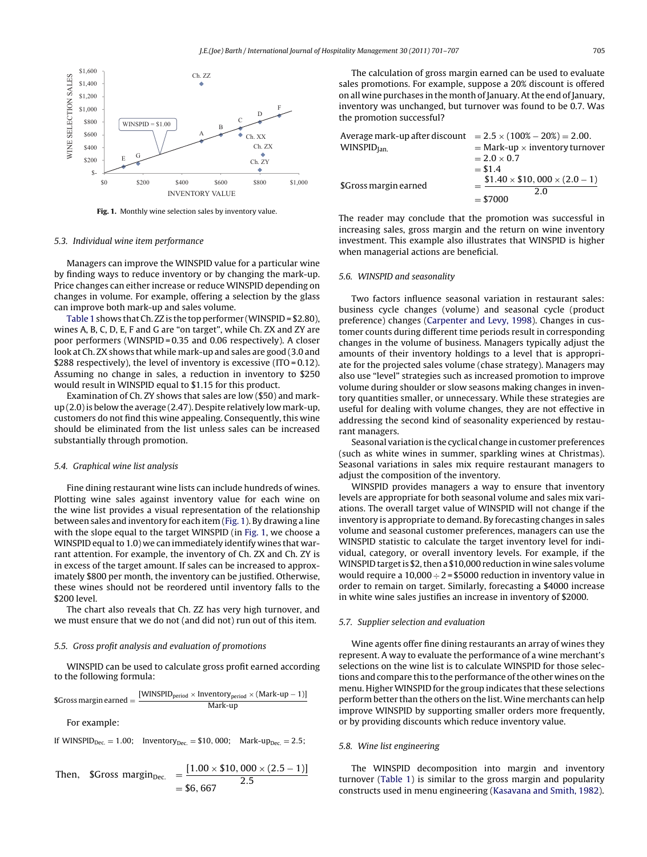

**Fig. 1.** Monthly wine selection sales by inventory value.

#### 5.3. Individual wine item performance

Managers can improve the WINSPID value for a particular wine by finding ways to reduce inventory or by changing the mark-up. Price changes can either increase or reduce WINSPID depending on changes in volume. For example, offering a selection by the glass can improve both mark-up and sales volume.

[Table 1sh](#page-2-0)ows that Ch. ZZ is the top performer (WINSPID = \$2.80), wines A, B, C, D, E, F and G are "on target", while Ch. ZX and ZY are poor performers (WINSPID = 0.35 and 0.06 respectively). A closer look at Ch. ZX shows that while mark-up and sales are good (3.0 and \$288 respectively), the level of inventory is excessive (ITO = 0.12). Assuming no change in sales, a reduction in inventory to \$250 would result in WINSPID equal to \$1.15 for this product.

Examination of Ch. ZY shows that sales are low (\$50) and markup (2.0) is below the average (2.47). Despite relatively low mark-up, customers do not find this wine appealing. Consequently, this wine should be eliminated from the list unless sales can be increased substantially through promotion.

#### 5.4. Graphical wine list analysis

Fine dining restaurant wine lists can include hundreds of wines. Plotting wine sales against inventory value for each wine on the wine list provides a visual representation of the relationship between sales and inventory for each item (Fig. 1). By drawing a line with the slope equal to the target WINSPID (in Fig. 1, we choose a WINSPID equal to 1.0) we can immediately identify wines that warrant attention. For example, the inventory of Ch. ZX and Ch. ZY is in excess of the target amount. If sales can be increased to approximately \$800 per month, the inventory can be justified. Otherwise, these wines should not be reordered until inventory falls to the \$200 level.

The chart also reveals that Ch. ZZ has very high turnover, and we must ensure that we do not (and did not) run out of this item.

#### 5.5. Gross profit analysis and evaluation of promotions

WINSPID can be used to calculate gross profit earned according to the following formula:

$$
Gross margin earned = \frac{[WINSPID_{period} \times Inventory_{period} \times (Mark-up - 1)]}{Mark-up}
$$

For example:

If WINSPID<sub>Dec.</sub> = 1.00; Inventory<sub>Dec.</sub> = \$10, 000; Mark-up<sub>Dec.</sub> = 2.5;

Then, \$Gross margin<sub>Dec.</sub> = 
$$
\frac{[1.00 \times $10,000 \times (2.5-1)]}{2.5}
$$

$$
= $6,667
$$

The calculation of gross margin earned can be used to evaluate sales promotions. For example, suppose a 20% discount is offered on all wine purchases in the month of January. At the end of January, inventory was unchanged, but turnover was found to be 0.7. Was the promotion successful?

| Average mark-up after discount $= 2.5 \times (100\% - 20\%) = 2.00$ . |                                         |
|-----------------------------------------------------------------------|-----------------------------------------|
| WINSPID <sub>Ian.</sub>                                               | $=$ Mark-up $\times$ inventory turnover |
|                                                                       | $= 2.0 \times 0.7$                      |
|                                                                       | $= $1.4$                                |
| \$Gross margin earned                                                 | $$1.40 \times $10,000 \times (2.0 - 1)$ |
|                                                                       | 2.0                                     |
|                                                                       | $=$ \$7000                              |

The reader may conclude that the promotion was successful in increasing sales, gross margin and the return on wine inventory investment. This example also illustrates that WINSPID is higher when managerial actions are beneficial.

#### 5.6. WINSPID and seasonality

Two factors influence seasonal variation in restaurant sales: business cycle changes (volume) and seasonal cycle (product preference) changes ([Carpenter and Levy, 1998\).](#page-6-0) Changes in customer counts during different time periods result in corresponding changes in the volume of business. Managers typically adjust the amounts of their inventory holdings to a level that is appropriate for the projected sales volume (chase strategy). Managers may also use "level" strategies such as increased promotion to improve volume during shoulder or slow seasons making changes in inventory quantities smaller, or unnecessary. While these strategies are useful for dealing with volume changes, they are not effective in addressing the second kind of seasonality experienced by restaurant managers.

Seasonal variation is the cyclical change in customer preferences (such as white wines in summer, sparkling wines at Christmas). Seasonal variations in sales mix require restaurant managers to adjust the composition of the inventory.

WINSPID provides managers a way to ensure that inventory levels are appropriate for both seasonal volume and sales mix variations. The overall target value of WINSPID will not change if the inventory is appropriate to demand. By forecasting changes in sales volume and seasonal customer preferences, managers can use the WINSPID statistic to calculate the target inventory level for individual, category, or overall inventory levels. For example, if the WINSPID target is \$2, then a \$10,000 reduction in wine sales volume would require a  $10,000 \div 2 = $5000$  reduction in inventory value in order to remain on target. Similarly, forecasting a \$4000 increase in white wine sales justifies an increase in inventory of \$2000.

#### 5.7. Supplier selection and evaluation

Wine agents offer fine dining restaurants an array of wines they represent. A way to evaluate the performance of a wine merchant's selections on the wine list is to calculate WINSPID for those selections and compare this to the performance of the other wines on the menu. Higher WINSPID for the group indicates that these selections perform better than the others on the list. Wine merchants can help improve WINSPID by supporting smaller orders more frequently, or by providing discounts which reduce inventory value.

#### 5.8. Wine list engineering

The WINSPID decomposition into margin and inventory turnover ([Table 1\)](#page-2-0) is similar to the gross margin and popularity constructs used in menu engineering [\(Kasavana and Smith, 1982\).](#page-6-0)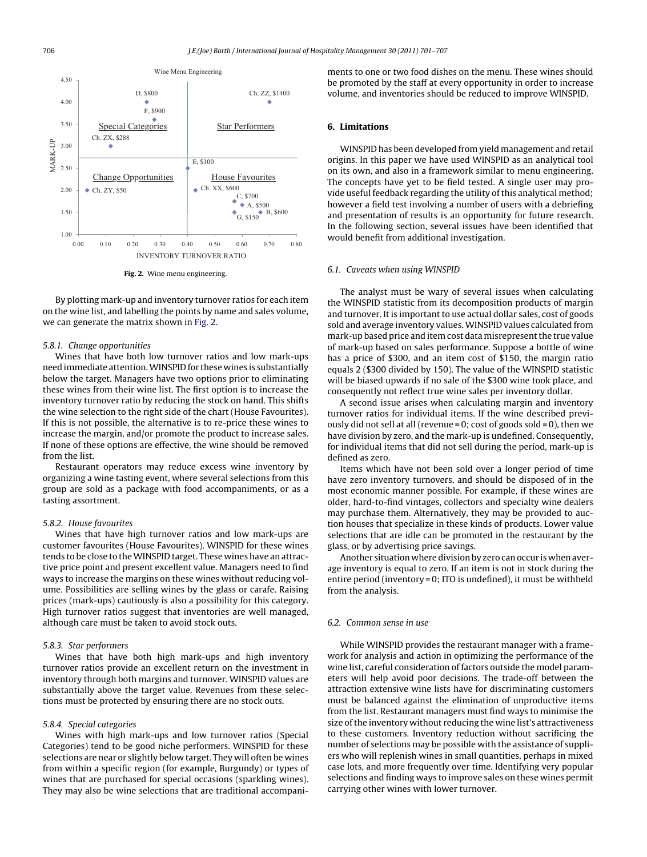

**Fig. 2.** Wine menu engineering.

By plotting mark-up and inventory turnover ratios for each item on the wine list, and labelling the points by name and sales volume, we can generate the matrix shown in Fig. 2.

#### 5.8.1. Change opportunities

Wines that have both low turnover ratios and low mark-ups need immediate attention.WINSPID for these wines is substantially below the target. Managers have two options prior to eliminating these wines from their wine list. The first option is to increase the inventory turnover ratio by reducing the stock on hand. This shifts the wine selection to the right side of the chart (House Favourites). If this is not possible, the alternative is to re-price these wines to increase the margin, and/or promote the product to increase sales. If none of these options are effective, the wine should be removed from the list.

Restaurant operators may reduce excess wine inventory by organizing a wine tasting event, where several selections from this group are sold as a package with food accompaniments, or as a tasting assortment.

#### 5.8.2. House favourites

Wines that have high turnover ratios and low mark-ups are customer favourites (House Favourites). WINSPID for these wines tends to be close to theWINSPID target. These wines have an attractive price point and present excellent value. Managers need to find ways to increase the margins on these wines without reducing volume. Possibilities are selling wines by the glass or carafe. Raising prices (mark-ups) cautiously is also a possibility for this category. High turnover ratios suggest that inventories are well managed, although care must be taken to avoid stock outs.

#### 5.8.3. Star performers

Wines that have both high mark-ups and high inventory turnover ratios provide an excellent return on the investment in inventory through both margins and turnover. WINSPID values are substantially above the target value. Revenues from these selections must be protected by ensuring there are no stock outs.

# 5.8.4. Special categories

Wines with high mark-ups and low turnover ratios (Special Categories) tend to be good niche performers. WINSPID for these selections are near or slightly below target. They will often be wines from within a specific region (for example, Burgundy) or types of wines that are purchased for special occasions (sparkling wines). They may also be wine selections that are traditional accompaniments to one or two food dishes on the menu. These wines should be promoted by the staff at every opportunity in order to increase volume, and inventories should be reduced to improve WINSPID.

# **6. Limitations**

WINSPID has been developed from yield management and retail origins. In this paper we have used WINSPID as an analytical tool on its own, and also in a framework similar to menu engineering. The concepts have yet to be field tested. A single user may provide useful feedback regarding the utility of this analytical method; however a field test involving a number of users with a debriefing and presentation of results is an opportunity for future research. In the following section, several issues have been identified that would benefit from additional investigation.

# 6.1. Caveats when using WINSPID

The analyst must be wary of several issues when calculating the WINSPID statistic from its decomposition products of margin and turnover. It is important to use actual dollar sales, cost of goods sold and average inventory values. WINSPID values calculated from mark-up based price and item cost data misrepresent the true value of mark-up based on sales performance. Suppose a bottle of wine has a price of \$300, and an item cost of \$150, the margin ratio equals 2 (\$300 divided by 150). The value of the WINSPID statistic will be biased upwards if no sale of the \$300 wine took place, and consequently not reflect true wine sales per inventory dollar.

A second issue arises when calculating margin and inventory turnover ratios for individual items. If the wine described previously did not sell at all (revenue =  $0$ ; cost of goods sold =  $0$ ), then we have division by zero, and the mark-up is undefined. Consequently, for individual items that did not sell during the period, mark-up is defined as zero.

Items which have not been sold over a longer period of time have zero inventory turnovers, and should be disposed of in the most economic manner possible. For example, if these wines are older, hard-to-find vintages, collectors and specialty wine dealers may purchase them. Alternatively, they may be provided to auction houses that specialize in these kinds of products. Lower value selections that are idle can be promoted in the restaurant by the glass, or by advertising price savings.

Another situation where division by zero can occur is when average inventory is equal to zero. If an item is not in stock during the entire period (inventory = 0; ITO is undefined), it must be withheld from the analysis.

#### 6.2. Common sense in use

While WINSPID provides the restaurant manager with a framework for analysis and action in optimizing the performance of the wine list, careful consideration of factors outside the model parameters will help avoid poor decisions. The trade-off between the attraction extensive wine lists have for discriminating customers must be balanced against the elimination of unproductive items from the list. Restaurant managers must find ways to minimise the size of the inventory without reducing the wine list's attractiveness to these customers. Inventory reduction without sacrificing the number of selections may be possible with the assistance of suppliers who will replenish wines in small quantities, perhaps in mixed case lots, and more frequently over time. Identifying very popular selections and finding ways to improve sales on these wines permit carrying other wines with lower turnover.